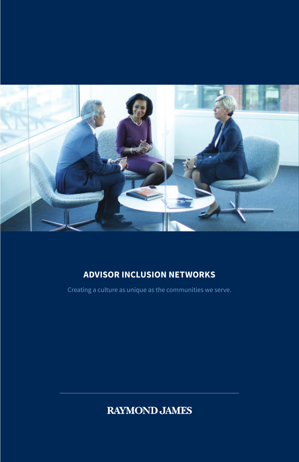

### **ADVISOR INCLUSION NETWORKS**

Creating a culture as unique as the communities we serve.

**RAYMOND JAMES**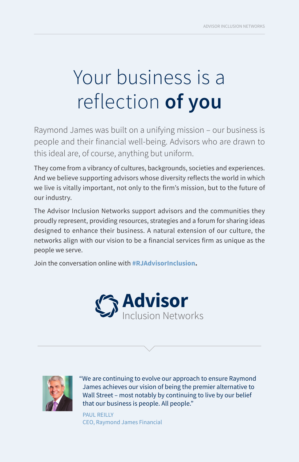# Your business is a reflection **of you**

Raymond James was built on a unifying mission – our business is people and their financial well-being. Advisors who are drawn to this ideal are, of course, anything but uniform.

They come from a vibrancy of cultures, backgrounds, societies and experiences. And we believe supporting advisors whose diversity reflects the world in which we live is vitally important, not only to the firm's mission, but to the future of our industry.

The Advisor Inclusion Networks support advisors and the communities they proudly represent, providing resources, strategies and a forum for sharing ideas designed to enhance their business. A natural extension of our culture, the networks align with our vision to be a financial services firm as unique as the people we serve.

Join the conversation online with **#RJAdvisorInclusion.**





"We are continuing to evolve our approach to ensure Raymond James achieves our vision of being the premier alternative to Wall Street – most notably by continuing to live by our belief that our business is people. All people."

PAUL REILLY CEO, Raymond James Financial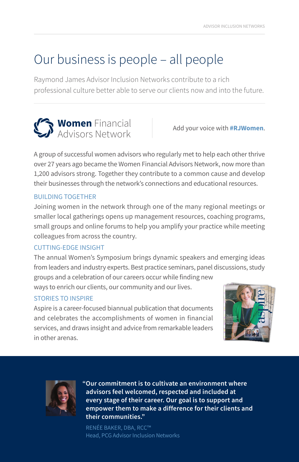# Our business is people – all people

Raymond James Advisor Inclusion Networks contribute to a rich professional culture better able to serve our clients now and into the future.



A group of successful women advisors who regularly met to help each other thrive over 27 years ago became the Women Financial Advisors Network, now more than 1,200 advisors strong. Together they contribute to a common cause and develop their businesses through the network's connections and educational resources.

#### BUILDING TOGETHER

Joining women in the network through one of the many regional meetings or smaller local gatherings opens up management resources, coaching programs, small groups and online forums to help you amplify your practice while meeting colleagues from across the country.

#### CUTTING-EDGE INSIGHT

The annual Women's Symposium brings dynamic speakers and emerging ideas from leaders and industry experts. Best practice seminars, panel discussions, study groups and a celebration of our careers occur while finding new

ways to enrich our clients, our community and our lives.

#### STORIES TO INSPIRE

Aspire is a career-focused biannual publication that documents and celebrates the accomplishments of women in financial services, and draws insight and advice from remarkable leaders in other arenas.





**"Our commitment is to cultivate an environment where advisors feel welcomed, respected and included at every stage of their career. Our goal is to support and empower them to make a difference for their clients and their communities."**

RENÉE BAKER, DBA, RCC™ Head, PCG Advisor Inclusion Networks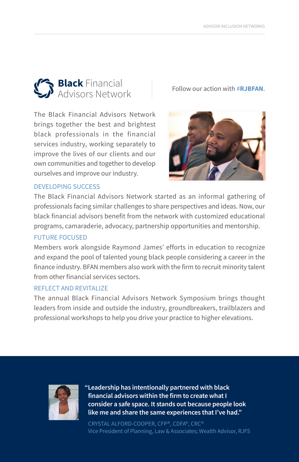

The Black Financial Advisors Network brings together the best and brightest black professionals in the financial services industry, working separately to improve the lives of our clients and our own communities and together to develop ourselves and improve our industry.



#### DEVELOPING SUCCESS

The Black Financial Advisors Network started as an informal gathering of professionals facing similar challenges to share perspectives and ideas. Now, our black financial advisors benefit from the network with customized educational programs, camaraderie, advocacy, partnership opportunities and mentorship.

#### FUTURE FOCUSED

Members work alongside Raymond James' efforts in education to recognize and expand the pool of talented young black people considering a career in the finance industry. BFAN members also work with the firm to recruit minority talent from other financial services sectors.

#### REFLECT AND REVITALIZE

The annual Black Financial Advisors Network Symposium brings thought leaders from inside and outside the industry, groundbreakers, trailblazers and professional workshops to help you drive your practice to higher elevations.



**"Leadership has intentionally partnered with black financial advisors within the firm to create what I consider a safe space. It stands out because people look like me and share the same experiences that I've had."**

CRYSTAL ALFORD-COOPER, CFP®, CDFA®, CRC® Vice President of Planning, Law & Associates; Wealth Advisor, RJFS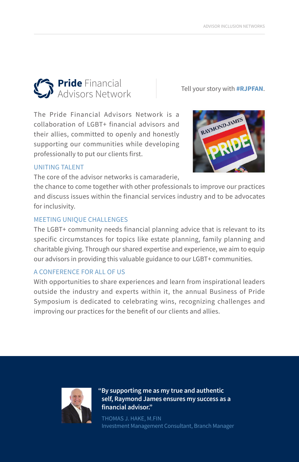# **Pride** Financial Tell your story with **#RJPFAN.** Advisors Network

The Pride Financial Advisors Network is a collaboration of LGBT+ financial advisors and their allies, committed to openly and honestly supporting our communities while developing professionally to put our clients first.



#### UNITING TALENT

The core of the advisor networks is camaraderie,

the chance to come together with other professionals to improve our practices and discuss issues within the financial services industry and to be advocates for inclusivity.

#### MEETING UNIQUE CHALLENGES

The LGBT+ community needs financial planning advice that is relevant to its specific circumstances for topics like estate planning, family planning and charitable giving. Through our shared expertise and experience, we aim to equip our advisors in providing this valuable guidance to our LGBT+ communities.

#### A CONFERENCE FOR ALL OF US

With opportunities to share experiences and learn from inspirational leaders outside the industry and experts within it, the annual Business of Pride Symposium is dedicated to celebrating wins, recognizing challenges and improving our practices for the benefit of our clients and allies.



**"By supporting me as my true and authentic self, Raymond James ensures my success as a financial advisor."**

THOMAS J. HAKE, M.FIN Investment Management Consultant, Branch Manager